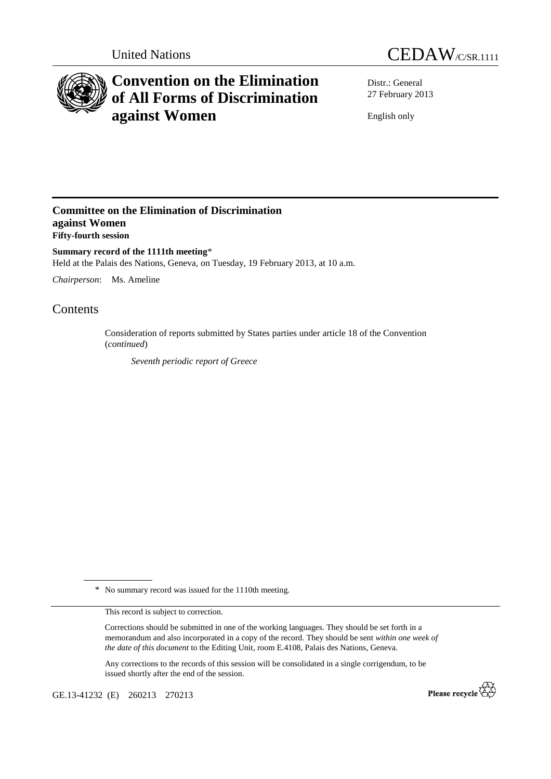



# **Convention on the Elimination of All Forms of Discrimination against Women**

Distr.: General 27 February 2013

English only

### **Committee on the Elimination of Discrimination against Women Fifty-fourth session**

**Summary record of the 1111th meeting**\* Held at the Palais des Nations, Geneva, on Tuesday, 19 February 2013, at 10 a.m.

*Chairperson*: Ms. Ameline

## Contents

Consideration of reports submitted by States parties under article 18 of the Convention (*continued*)

*Seventh periodic report of Greece* 

\* No summary record was issued for the 1110th meeting.

This record is subject to correction.

Corrections should be submitted in one of the working languages. They should be set forth in a memorandum and also incorporated in a copy of the record. They should be sent *within one week of the date of this document* to the Editing Unit, room E.4108, Palais des Nations, Geneva.

Any corrections to the records of this session will be consolidated in a single corrigendum, to be issued shortly after the end of the session.

GE.13-41232 (E) 260213 270213

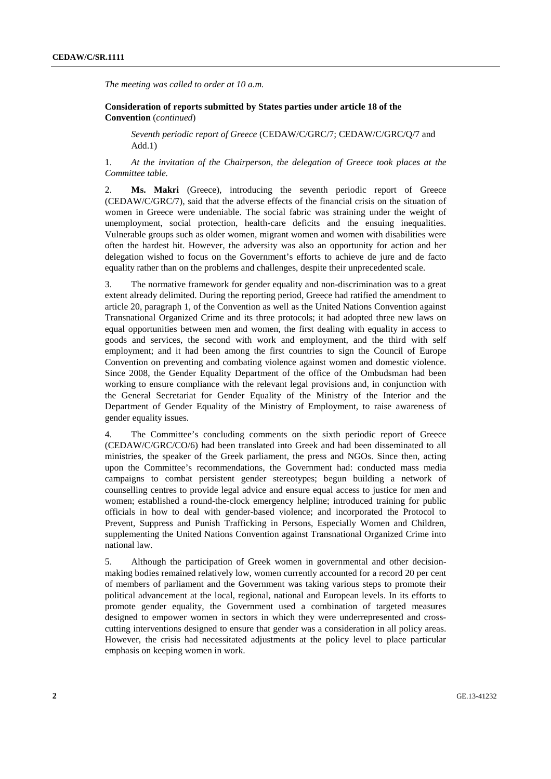*The meeting was called to order at 10 a.m.* 

 **Consideration of reports submitted by States parties under article 18 of the Convention** (*continued*)

*Seventh periodic report of Greece* (CEDAW/C/GRC/7; CEDAW/C/GRC/Q/7 and Add.1)

1. *At the invitation of the Chairperson, the delegation of Greece took places at the Committee table.* 

2. **Ms. Makri** (Greece), introducing the seventh periodic report of Greece (CEDAW/C/GRC/7), said that the adverse effects of the financial crisis on the situation of women in Greece were undeniable. The social fabric was straining under the weight of unemployment, social protection, health-care deficits and the ensuing inequalities. Vulnerable groups such as older women, migrant women and women with disabilities were often the hardest hit. However, the adversity was also an opportunity for action and her delegation wished to focus on the Government's efforts to achieve de jure and de facto equality rather than on the problems and challenges, despite their unprecedented scale.

3. The normative framework for gender equality and non-discrimination was to a great extent already delimited. During the reporting period, Greece had ratified the amendment to article 20, paragraph 1, of the Convention as well as the United Nations Convention against Transnational Organized Crime and its three protocols; it had adopted three new laws on equal opportunities between men and women, the first dealing with equality in access to goods and services, the second with work and employment, and the third with self employment; and it had been among the first countries to sign the Council of Europe Convention on preventing and combating violence against women and domestic violence. Since 2008, the Gender Equality Department of the office of the Ombudsman had been working to ensure compliance with the relevant legal provisions and, in conjunction with the General Secretariat for Gender Equality of the Ministry of the Interior and the Department of Gender Equality of the Ministry of Employment, to raise awareness of gender equality issues.

4. The Committee's concluding comments on the sixth periodic report of Greece (CEDAW/C/GRC/CO/6) had been translated into Greek and had been disseminated to all ministries, the speaker of the Greek parliament, the press and NGOs. Since then, acting upon the Committee's recommendations, the Government had: conducted mass media campaigns to combat persistent gender stereotypes; begun building a network of counselling centres to provide legal advice and ensure equal access to justice for men and women; established a round-the-clock emergency helpline; introduced training for public officials in how to deal with gender-based violence; and incorporated the Protocol to Prevent, Suppress and Punish Trafficking in Persons, Especially Women and Children, supplementing the United Nations Convention against Transnational Organized Crime into national law.

5. Although the participation of Greek women in governmental and other decisionmaking bodies remained relatively low, women currently accounted for a record 20 per cent of members of parliament and the Government was taking various steps to promote their political advancement at the local, regional, national and European levels. In its efforts to promote gender equality, the Government used a combination of targeted measures designed to empower women in sectors in which they were underrepresented and crosscutting interventions designed to ensure that gender was a consideration in all policy areas. However, the crisis had necessitated adjustments at the policy level to place particular emphasis on keeping women in work.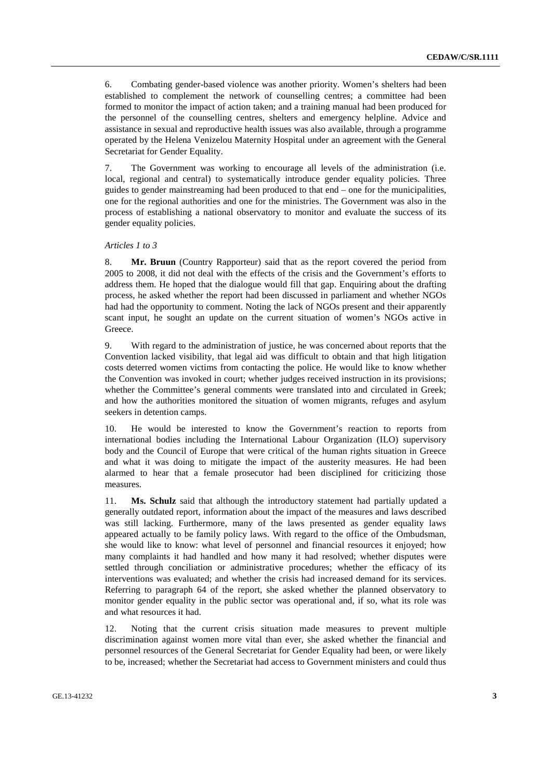6. Combating gender-based violence was another priority. Women's shelters had been established to complement the network of counselling centres; a committee had been formed to monitor the impact of action taken; and a training manual had been produced for the personnel of the counselling centres, shelters and emergency helpline. Advice and assistance in sexual and reproductive health issues was also available, through a programme operated by the Helena Venizelou Maternity Hospital under an agreement with the General Secretariat for Gender Equality.

7. The Government was working to encourage all levels of the administration (i.e. local, regional and central) to systematically introduce gender equality policies. Three guides to gender mainstreaming had been produced to that end – one for the municipalities, one for the regional authorities and one for the ministries. The Government was also in the process of establishing a national observatory to monitor and evaluate the success of its gender equality policies.

### *Articles 1 to 3*

8. **Mr. Bruun** (Country Rapporteur) said that as the report covered the period from 2005 to 2008, it did not deal with the effects of the crisis and the Government's efforts to address them. He hoped that the dialogue would fill that gap. Enquiring about the drafting process, he asked whether the report had been discussed in parliament and whether NGOs had had the opportunity to comment. Noting the lack of NGOs present and their apparently scant input, he sought an update on the current situation of women's NGOs active in Greece.

9. With regard to the administration of justice, he was concerned about reports that the Convention lacked visibility, that legal aid was difficult to obtain and that high litigation costs deterred women victims from contacting the police. He would like to know whether the Convention was invoked in court; whether judges received instruction in its provisions; whether the Committee's general comments were translated into and circulated in Greek; and how the authorities monitored the situation of women migrants, refuges and asylum seekers in detention camps.

10. He would be interested to know the Government's reaction to reports from international bodies including the International Labour Organization (ILO) supervisory body and the Council of Europe that were critical of the human rights situation in Greece and what it was doing to mitigate the impact of the austerity measures. He had been alarmed to hear that a female prosecutor had been disciplined for criticizing those measures.

11. **Ms. Schulz** said that although the introductory statement had partially updated a generally outdated report, information about the impact of the measures and laws described was still lacking. Furthermore, many of the laws presented as gender equality laws appeared actually to be family policy laws. With regard to the office of the Ombudsman, she would like to know: what level of personnel and financial resources it enjoyed; how many complaints it had handled and how many it had resolved; whether disputes were settled through conciliation or administrative procedures; whether the efficacy of its interventions was evaluated; and whether the crisis had increased demand for its services. Referring to paragraph 64 of the report, she asked whether the planned observatory to monitor gender equality in the public sector was operational and, if so, what its role was and what resources it had.

12. Noting that the current crisis situation made measures to prevent multiple discrimination against women more vital than ever, she asked whether the financial and personnel resources of the General Secretariat for Gender Equality had been, or were likely to be, increased; whether the Secretariat had access to Government ministers and could thus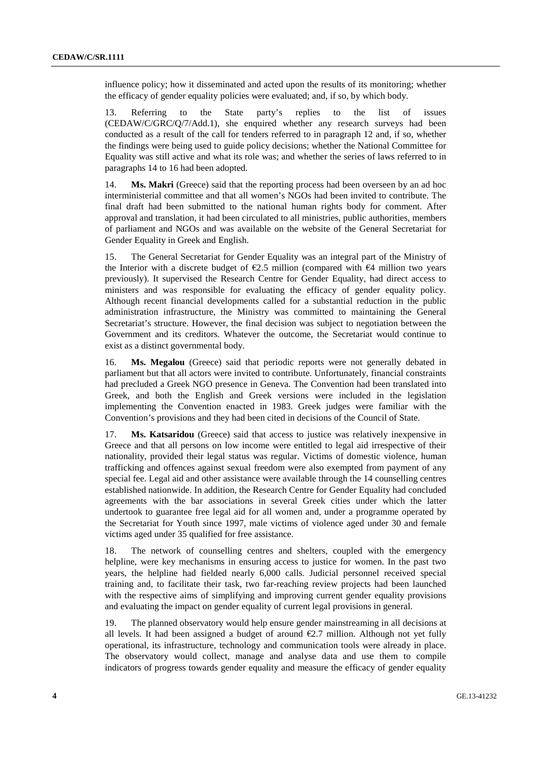influence policy; how it disseminated and acted upon the results of its monitoring; whether the efficacy of gender equality policies were evaluated; and, if so, by which body.

13. Referring to the State party's replies to the list of issues (CEDAW/C/GRC/Q/7/Add.1), she enquired whether any research surveys had been conducted as a result of the call for tenders referred to in paragraph 12 and, if so, whether the findings were being used to guide policy decisions; whether the National Committee for Equality was still active and what its role was; and whether the series of laws referred to in paragraphs 14 to 16 had been adopted.

14. **Ms. Makri** (Greece) said that the reporting process had been overseen by an ad hoc interministerial committee and that all women's NGOs had been invited to contribute. The final draft had been submitted to the national human rights body for comment. After approval and translation, it had been circulated to all ministries, public authorities, members of parliament and NGOs and was available on the website of the General Secretariat for Gender Equality in Greek and English.

15. The General Secretariat for Gender Equality was an integral part of the Ministry of the Interior with a discrete budget of  $E2.5$  million (compared with  $E4$  million two years previously). It supervised the Research Centre for Gender Equality, had direct access to ministers and was responsible for evaluating the efficacy of gender equality policy. Although recent financial developments called for a substantial reduction in the public administration infrastructure, the Ministry was committed to maintaining the General Secretariat's structure. However, the final decision was subject to negotiation between the Government and its creditors. Whatever the outcome, the Secretariat would continue to exist as a distinct governmental body.

16. **Ms. Megalou** (Greece) said that periodic reports were not generally debated in parliament but that all actors were invited to contribute. Unfortunately, financial constraints had precluded a Greek NGO presence in Geneva. The Convention had been translated into Greek, and both the English and Greek versions were included in the legislation implementing the Convention enacted in 1983. Greek judges were familiar with the Convention's provisions and they had been cited in decisions of the Council of State.

17. **Ms. Katsaridou** (Greece) said that access to justice was relatively inexpensive in Greece and that all persons on low income were entitled to legal aid irrespective of their nationality, provided their legal status was regular. Victims of domestic violence, human trafficking and offences against sexual freedom were also exempted from payment of any special fee. Legal aid and other assistance were available through the 14 counselling centres established nationwide. In addition, the Research Centre for Gender Equality had concluded agreements with the bar associations in several Greek cities under which the latter undertook to guarantee free legal aid for all women and, under a programme operated by the Secretariat for Youth since 1997, male victims of violence aged under 30 and female victims aged under 35 qualified for free assistance.

18. The network of counselling centres and shelters, coupled with the emergency helpline, were key mechanisms in ensuring access to justice for women. In the past two years, the helpline had fielded nearly 6,000 calls. Judicial personnel received special training and, to facilitate their task, two far-reaching review projects had been launched with the respective aims of simplifying and improving current gender equality provisions and evaluating the impact on gender equality of current legal provisions in general.

19. The planned observatory would help ensure gender mainstreaming in all decisions at all levels. It had been assigned a budget of around  $E2.7$  million. Although not yet fully operational, its infrastructure, technology and communication tools were already in place. The observatory would collect, manage and analyse data and use them to compile indicators of progress towards gender equality and measure the efficacy of gender equality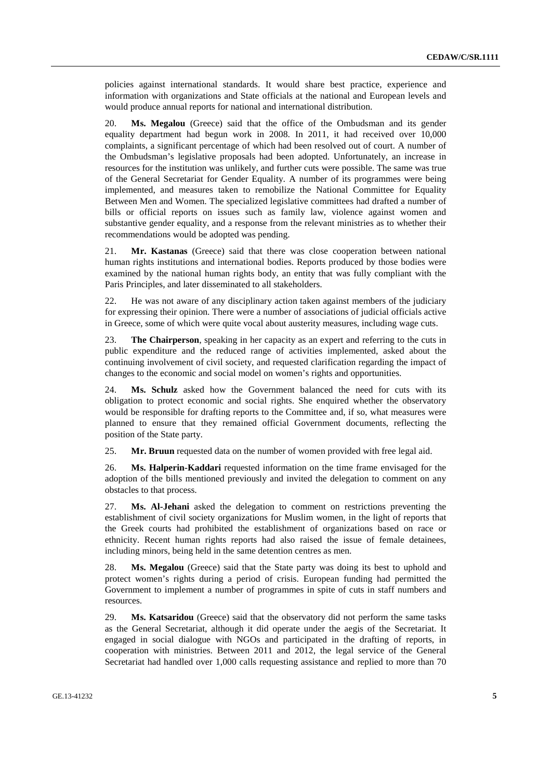policies against international standards. It would share best practice, experience and information with organizations and State officials at the national and European levels and would produce annual reports for national and international distribution.

20. **Ms. Megalou** (Greece) said that the office of the Ombudsman and its gender equality department had begun work in 2008. In 2011, it had received over 10,000 complaints, a significant percentage of which had been resolved out of court. A number of the Ombudsman's legislative proposals had been adopted. Unfortunately, an increase in resources for the institution was unlikely, and further cuts were possible. The same was true of the General Secretariat for Gender Equality. A number of its programmes were being implemented, and measures taken to remobilize the National Committee for Equality Between Men and Women. The specialized legislative committees had drafted a number of bills or official reports on issues such as family law, violence against women and substantive gender equality, and a response from the relevant ministries as to whether their recommendations would be adopted was pending.

21. **Mr. Kastanas** (Greece) said that there was close cooperation between national human rights institutions and international bodies. Reports produced by those bodies were examined by the national human rights body, an entity that was fully compliant with the Paris Principles, and later disseminated to all stakeholders.

22. He was not aware of any disciplinary action taken against members of the judiciary for expressing their opinion. There were a number of associations of judicial officials active in Greece, some of which were quite vocal about austerity measures, including wage cuts.

23. **The Chairperson**, speaking in her capacity as an expert and referring to the cuts in public expenditure and the reduced range of activities implemented, asked about the continuing involvement of civil society, and requested clarification regarding the impact of changes to the economic and social model on women's rights and opportunities.

24. **Ms. Schulz** asked how the Government balanced the need for cuts with its obligation to protect economic and social rights. She enquired whether the observatory would be responsible for drafting reports to the Committee and, if so, what measures were planned to ensure that they remained official Government documents, reflecting the position of the State party.

25. **Mr. Bruun** requested data on the number of women provided with free legal aid.

26. **Ms. Halperin-Kaddari** requested information on the time frame envisaged for the adoption of the bills mentioned previously and invited the delegation to comment on any obstacles to that process.

27. **Ms. Al-Jehani** asked the delegation to comment on restrictions preventing the establishment of civil society organizations for Muslim women, in the light of reports that the Greek courts had prohibited the establishment of organizations based on race or ethnicity. Recent human rights reports had also raised the issue of female detainees, including minors, being held in the same detention centres as men.

28. **Ms. Megalou** (Greece) said that the State party was doing its best to uphold and protect women's rights during a period of crisis. European funding had permitted the Government to implement a number of programmes in spite of cuts in staff numbers and resources.

29. **Ms. Katsaridou** (Greece) said that the observatory did not perform the same tasks as the General Secretariat, although it did operate under the aegis of the Secretariat. It engaged in social dialogue with NGOs and participated in the drafting of reports, in cooperation with ministries. Between 2011 and 2012, the legal service of the General Secretariat had handled over 1,000 calls requesting assistance and replied to more than 70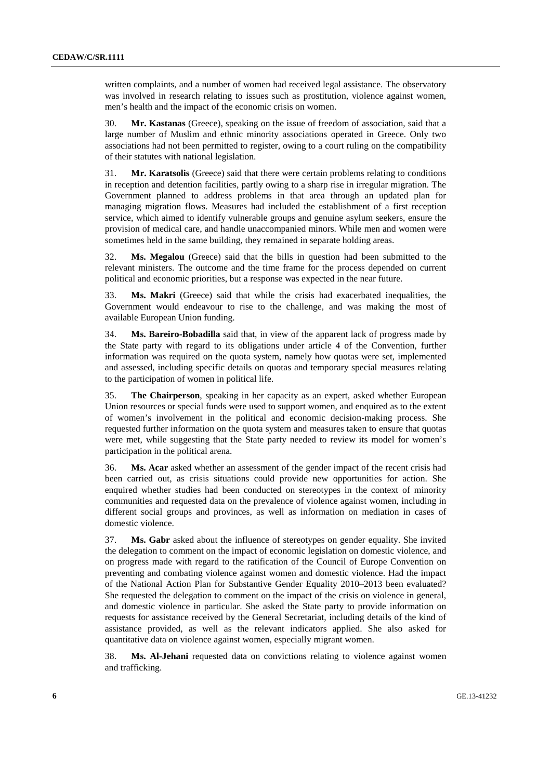written complaints, and a number of women had received legal assistance. The observatory was involved in research relating to issues such as prostitution, violence against women, men's health and the impact of the economic crisis on women.

30. **Mr. Kastanas** (Greece), speaking on the issue of freedom of association, said that a large number of Muslim and ethnic minority associations operated in Greece. Only two associations had not been permitted to register, owing to a court ruling on the compatibility of their statutes with national legislation.

31. **Mr. Karatsolis** (Greece) said that there were certain problems relating to conditions in reception and detention facilities, partly owing to a sharp rise in irregular migration. The Government planned to address problems in that area through an updated plan for managing migration flows. Measures had included the establishment of a first reception service, which aimed to identify vulnerable groups and genuine asylum seekers, ensure the provision of medical care, and handle unaccompanied minors. While men and women were sometimes held in the same building, they remained in separate holding areas.

32. **Ms. Megalou** (Greece) said that the bills in question had been submitted to the relevant ministers. The outcome and the time frame for the process depended on current political and economic priorities, but a response was expected in the near future.

33. **Ms. Makri** (Greece) said that while the crisis had exacerbated inequalities, the Government would endeavour to rise to the challenge, and was making the most of available European Union funding.

34. **Ms. Bareiro-Bobadilla** said that, in view of the apparent lack of progress made by the State party with regard to its obligations under article 4 of the Convention, further information was required on the quota system, namely how quotas were set, implemented and assessed, including specific details on quotas and temporary special measures relating to the participation of women in political life.

35. **The Chairperson**, speaking in her capacity as an expert, asked whether European Union resources or special funds were used to support women, and enquired as to the extent of women's involvement in the political and economic decision-making process. She requested further information on the quota system and measures taken to ensure that quotas were met, while suggesting that the State party needed to review its model for women's participation in the political arena.

36. **Ms. Acar** asked whether an assessment of the gender impact of the recent crisis had been carried out, as crisis situations could provide new opportunities for action. She enquired whether studies had been conducted on stereotypes in the context of minority communities and requested data on the prevalence of violence against women, including in different social groups and provinces, as well as information on mediation in cases of domestic violence.

37. **Ms. Gabr** asked about the influence of stereotypes on gender equality. She invited the delegation to comment on the impact of economic legislation on domestic violence, and on progress made with regard to the ratification of the Council of Europe Convention on preventing and combating violence against women and domestic violence. Had the impact of the National Action Plan for Substantive Gender Equality 2010–2013 been evaluated? She requested the delegation to comment on the impact of the crisis on violence in general, and domestic violence in particular. She asked the State party to provide information on requests for assistance received by the General Secretariat, including details of the kind of assistance provided, as well as the relevant indicators applied. She also asked for quantitative data on violence against women, especially migrant women.

38. **Ms. Al-Jehani** requested data on convictions relating to violence against women and trafficking.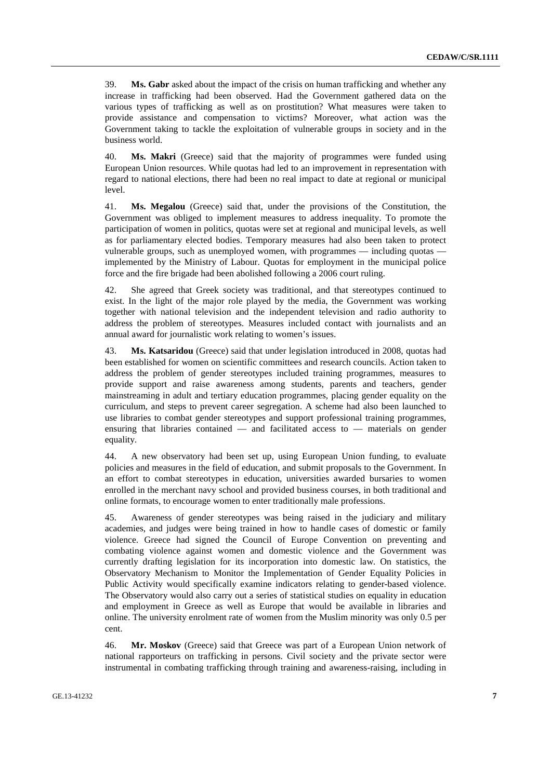39. **Ms. Gabr** asked about the impact of the crisis on human trafficking and whether any increase in trafficking had been observed. Had the Government gathered data on the various types of trafficking as well as on prostitution? What measures were taken to provide assistance and compensation to victims? Moreover, what action was the Government taking to tackle the exploitation of vulnerable groups in society and in the business world.

40. **Ms. Makri** (Greece) said that the majority of programmes were funded using European Union resources. While quotas had led to an improvement in representation with regard to national elections, there had been no real impact to date at regional or municipal level.

41. **Ms. Megalou** (Greece) said that, under the provisions of the Constitution, the Government was obliged to implement measures to address inequality. To promote the participation of women in politics, quotas were set at regional and municipal levels, as well as for parliamentary elected bodies. Temporary measures had also been taken to protect vulnerable groups, such as unemployed women, with programmes — including quotas implemented by the Ministry of Labour. Quotas for employment in the municipal police force and the fire brigade had been abolished following a 2006 court ruling.

42. She agreed that Greek society was traditional, and that stereotypes continued to exist. In the light of the major role played by the media, the Government was working together with national television and the independent television and radio authority to address the problem of stereotypes. Measures included contact with journalists and an annual award for journalistic work relating to women's issues.

43. **Ms. Katsaridou** (Greece) said that under legislation introduced in 2008, quotas had been established for women on scientific committees and research councils. Action taken to address the problem of gender stereotypes included training programmes, measures to provide support and raise awareness among students, parents and teachers, gender mainstreaming in adult and tertiary education programmes, placing gender equality on the curriculum, and steps to prevent career segregation. A scheme had also been launched to use libraries to combat gender stereotypes and support professional training programmes, ensuring that libraries contained — and facilitated access to — materials on gender equality.

44. A new observatory had been set up, using European Union funding, to evaluate policies and measures in the field of education, and submit proposals to the Government. In an effort to combat stereotypes in education, universities awarded bursaries to women enrolled in the merchant navy school and provided business courses, in both traditional and online formats, to encourage women to enter traditionally male professions.

45. Awareness of gender stereotypes was being raised in the judiciary and military academies, and judges were being trained in how to handle cases of domestic or family violence. Greece had signed the Council of Europe Convention on preventing and combating violence against women and domestic violence and the Government was currently drafting legislation for its incorporation into domestic law. On statistics, the Observatory Mechanism to Monitor the Implementation of Gender Equality Policies in Public Activity would specifically examine indicators relating to gender-based violence. The Observatory would also carry out a series of statistical studies on equality in education and employment in Greece as well as Europe that would be available in libraries and online. The university enrolment rate of women from the Muslim minority was only 0.5 per cent.

46. **Mr. Moskov** (Greece) said that Greece was part of a European Union network of national rapporteurs on trafficking in persons. Civil society and the private sector were instrumental in combating trafficking through training and awareness-raising, including in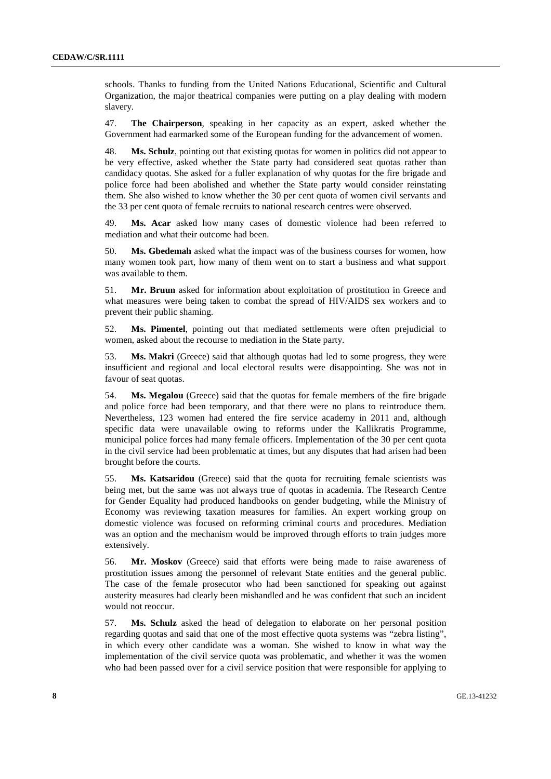schools. Thanks to funding from the United Nations Educational, Scientific and Cultural Organization, the major theatrical companies were putting on a play dealing with modern slavery.

47. **The Chairperson**, speaking in her capacity as an expert, asked whether the Government had earmarked some of the European funding for the advancement of women.

48. **Ms. Schulz**, pointing out that existing quotas for women in politics did not appear to be very effective, asked whether the State party had considered seat quotas rather than candidacy quotas. She asked for a fuller explanation of why quotas for the fire brigade and police force had been abolished and whether the State party would consider reinstating them. She also wished to know whether the 30 per cent quota of women civil servants and the 33 per cent quota of female recruits to national research centres were observed.

49. **Ms. Acar** asked how many cases of domestic violence had been referred to mediation and what their outcome had been.

50. **Ms. Gbedemah** asked what the impact was of the business courses for women, how many women took part, how many of them went on to start a business and what support was available to them.

51. **Mr. Bruun** asked for information about exploitation of prostitution in Greece and what measures were being taken to combat the spread of HIV/AIDS sex workers and to prevent their public shaming.

52. **Ms. Pimentel**, pointing out that mediated settlements were often prejudicial to women, asked about the recourse to mediation in the State party.

53. **Ms. Makri** (Greece) said that although quotas had led to some progress, they were insufficient and regional and local electoral results were disappointing. She was not in favour of seat quotas.

54. **Ms. Megalou** (Greece) said that the quotas for female members of the fire brigade and police force had been temporary, and that there were no plans to reintroduce them. Nevertheless, 123 women had entered the fire service academy in 2011 and, although specific data were unavailable owing to reforms under the Kallikratis Programme, municipal police forces had many female officers. Implementation of the 30 per cent quota in the civil service had been problematic at times, but any disputes that had arisen had been brought before the courts.

55. **Ms. Katsaridou** (Greece) said that the quota for recruiting female scientists was being met, but the same was not always true of quotas in academia. The Research Centre for Gender Equality had produced handbooks on gender budgeting, while the Ministry of Economy was reviewing taxation measures for families. An expert working group on domestic violence was focused on reforming criminal courts and procedures. Mediation was an option and the mechanism would be improved through efforts to train judges more extensively.

56. **Mr. Moskov** (Greece) said that efforts were being made to raise awareness of prostitution issues among the personnel of relevant State entities and the general public. The case of the female prosecutor who had been sanctioned for speaking out against austerity measures had clearly been mishandled and he was confident that such an incident would not reoccur.

57. **Ms. Schulz** asked the head of delegation to elaborate on her personal position regarding quotas and said that one of the most effective quota systems was "zebra listing", in which every other candidate was a woman. She wished to know in what way the implementation of the civil service quota was problematic, and whether it was the women who had been passed over for a civil service position that were responsible for applying to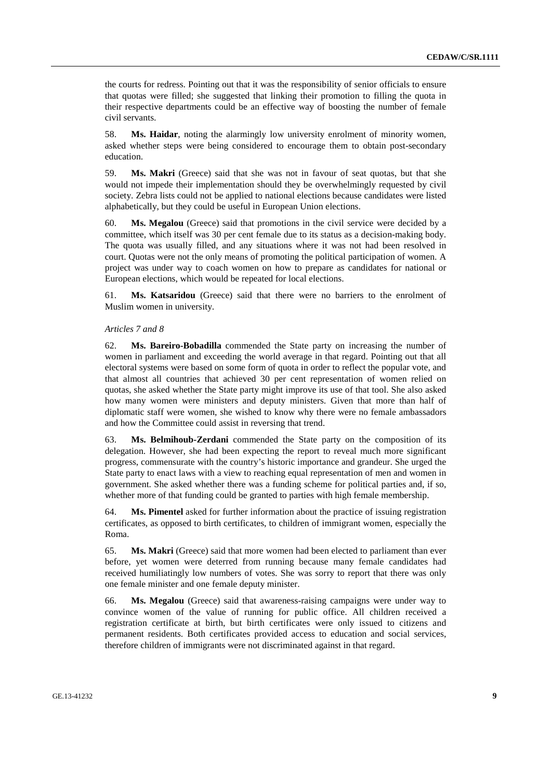the courts for redress. Pointing out that it was the responsibility of senior officials to ensure that quotas were filled; she suggested that linking their promotion to filling the quota in their respective departments could be an effective way of boosting the number of female civil servants.

58. **Ms. Haidar**, noting the alarmingly low university enrolment of minority women, asked whether steps were being considered to encourage them to obtain post-secondary education.

59. **Ms. Makri** (Greece) said that she was not in favour of seat quotas, but that she would not impede their implementation should they be overwhelmingly requested by civil society. Zebra lists could not be applied to national elections because candidates were listed alphabetically, but they could be useful in European Union elections.

60. **Ms. Megalou** (Greece) said that promotions in the civil service were decided by a committee, which itself was 30 per cent female due to its status as a decision-making body. The quota was usually filled, and any situations where it was not had been resolved in court. Quotas were not the only means of promoting the political participation of women. A project was under way to coach women on how to prepare as candidates for national or European elections, which would be repeated for local elections.

61. **Ms. Katsaridou** (Greece) said that there were no barriers to the enrolment of Muslim women in university.

#### *Articles 7 and 8*

62. **Ms. Bareiro-Bobadilla** commended the State party on increasing the number of women in parliament and exceeding the world average in that regard. Pointing out that all electoral systems were based on some form of quota in order to reflect the popular vote, and that almost all countries that achieved 30 per cent representation of women relied on quotas, she asked whether the State party might improve its use of that tool. She also asked how many women were ministers and deputy ministers. Given that more than half of diplomatic staff were women, she wished to know why there were no female ambassadors and how the Committee could assist in reversing that trend.

63. **Ms. Belmihoub-Zerdani** commended the State party on the composition of its delegation. However, she had been expecting the report to reveal much more significant progress, commensurate with the country's historic importance and grandeur. She urged the State party to enact laws with a view to reaching equal representation of men and women in government. She asked whether there was a funding scheme for political parties and, if so, whether more of that funding could be granted to parties with high female membership.

64. **Ms. Pimentel** asked for further information about the practice of issuing registration certificates, as opposed to birth certificates, to children of immigrant women, especially the Roma.

65. **Ms. Makri** (Greece) said that more women had been elected to parliament than ever before, yet women were deterred from running because many female candidates had received humiliatingly low numbers of votes. She was sorry to report that there was only one female minister and one female deputy minister.

66. **Ms. Megalou** (Greece) said that awareness-raising campaigns were under way to convince women of the value of running for public office. All children received a registration certificate at birth, but birth certificates were only issued to citizens and permanent residents. Both certificates provided access to education and social services, therefore children of immigrants were not discriminated against in that regard.